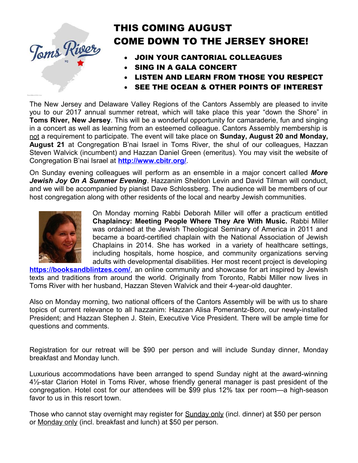

# THIS COMING AUGUST COME DOWN TO THE JERSEY SHORE!

- JOIN YOUR CANTORIAL COLLEAGUES
- SING IN A GALA CONCERT
- LISTEN AND LEARN FROM THOSE YOU RESPECT
- SEE THE OCEAN & OTHER POINTS OF INTEREST

The New Jersey and Delaware Valley Regions of the Cantors Assembly are pleased to invite you to our 2017 annual summer retreat, which will take place this year "down the Shore" in **Toms River, New Jersey**. This will be a wonderful opportunity for camaraderie, fun and singing in a concert as well as learning from an esteemed colleague. Cantors Assembly membership is not a requirement to participate. The event will take place on **Sunday, August 20 and Monday, August 21** at Congregation B'nai Israel in Toms River, the shul of our colleagues, Hazzan Steven Walvick (incumbent) and Hazzan Daniel Green (emeritus). You may visit the website of Congregation B'nai Israel at **http://www.cbitr.org/**.

On Sunday evening colleagues will perform as an ensemble in a major concert called *More Jewish Joy On A Summer Evening*. Hazzanim Sheldon Levin and David Tilman will conduct, and we will be accompanied by pianist Dave Schlossberg. The audience will be members of our host congregation along with other residents of the local and nearby Jewish communities.



On Monday morning Rabbi Deborah Miller will offer a practicum entitled **Chaplaincy: Meeting People Where They Are With Music.** Rabbi Miller was ordained at the Jewish Theological Seminary of America in 2011 and became a board-certified chaplain with the National Association of Jewish Chaplains in 2014. She has worked in a variety of healthcare settings, including hospitals, home hospice, and community organizations serving adults with developmental disabilities. Her most recent project is developing

**https://booksandblintzes.com/**, an online community and showcase for art inspired by Jewish texts and traditions from around the world. Originally from Toronto, Rabbi Miller now lives in Toms River with her husband, Hazzan Steven Walvick and their 4-year-old daughter.

Also on Monday morning, two national officers of the Cantors Assembly will be with us to share topics of current relevance to all hazzanim: Hazzan Alisa Pomerantz-Boro, our newly-installed President; and Hazzan Stephen J. Stein, Executive Vice President. There will be ample time for questions and comments.

Registration for our retreat will be \$90 per person and will include Sunday dinner, Monday breakfast and Monday lunch.

Luxurious accommodations have been arranged to spend Sunday night at the award-winning 4½-star Clarion Hotel in Toms River, whose friendly general manager is past president of the congregation. Hotel cost for our attendees will be \$99 plus 12% tax per room—a high-season favor to us in this resort town.

Those who cannot stay overnight may register for **Sunday only (incl. dinner) at \$50 per person** or Monday only (incl. breakfast and lunch) at \$50 per person.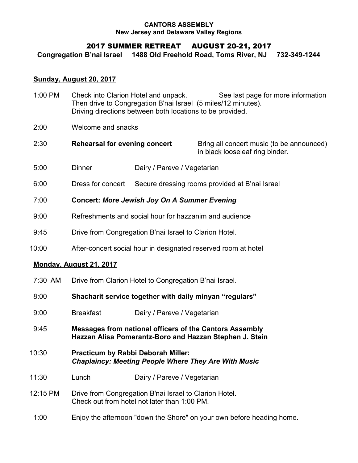#### **CANTORS ASSEMBLY New Jersey and Delaware Valley Regions**

## 2017 SUMMER RETREAT AUGUST 20-21, 2017

**Congregation B'nai Israel 1488 Old Freehold Road, Toms River, NJ 732-349-1244**

## **Sunday, August 20, 2017**

| 1:00 PM  | Check into Clarion Hotel and unpack.<br>See last page for more information<br>Then drive to Congregation B'nai Israel (5 miles/12 minutes).<br>Driving directions between both locations to be provided. |                             |                                                                              |  |
|----------|----------------------------------------------------------------------------------------------------------------------------------------------------------------------------------------------------------|-----------------------------|------------------------------------------------------------------------------|--|
| 2:00     | Welcome and snacks                                                                                                                                                                                       |                             |                                                                              |  |
| 2:30     | <b>Rehearsal for evening concert</b>                                                                                                                                                                     |                             | Bring all concert music (to be announced)<br>in black looseleaf ring binder. |  |
| 5:00     | <b>Dinner</b>                                                                                                                                                                                            | Dairy / Pareve / Vegetarian |                                                                              |  |
| 6:00     | Dress for concert                                                                                                                                                                                        |                             | Secure dressing rooms provided at B'nai Israel                               |  |
| 7:00     | <b>Concert: More Jewish Joy On A Summer Evening</b>                                                                                                                                                      |                             |                                                                              |  |
| 9:00     | Refreshments and social hour for hazzanim and audience                                                                                                                                                   |                             |                                                                              |  |
| 9:45     | Drive from Congregation B'nai Israel to Clarion Hotel.                                                                                                                                                   |                             |                                                                              |  |
| 10:00    | After-concert social hour in designated reserved room at hotel                                                                                                                                           |                             |                                                                              |  |
|          | Monday, August 21, 2017                                                                                                                                                                                  |                             |                                                                              |  |
| 7:30 AM  | Drive from Clarion Hotel to Congregation B'nai Israel.                                                                                                                                                   |                             |                                                                              |  |
| 8:00     | Shacharit service together with daily minyan "regulars"                                                                                                                                                  |                             |                                                                              |  |
| 9:00     | <b>Breakfast</b>                                                                                                                                                                                         | Dairy / Pareve / Vegetarian |                                                                              |  |
| 9:45     | Messages from national officers of the Cantors Assembly<br>Hazzan Alisa Pomerantz-Boro and Hazzan Stephen J. Stein                                                                                       |                             |                                                                              |  |
| 10:30    | Practicum by Rabbi Deborah Miller:<br><b>Chaplaincy: Meeting People Where They Are With Music</b>                                                                                                        |                             |                                                                              |  |
| 11:30    | Lunch                                                                                                                                                                                                    | Dairy / Pareve / Vegetarian |                                                                              |  |
| 12:15 PM | Drive from Congregation B'nai Israel to Clarion Hotel.<br>Check out from hotel not later than 1:00 PM.                                                                                                   |                             |                                                                              |  |
| 1:00     | Enjoy the afternoon "down the Shore" on your own before heading home.                                                                                                                                    |                             |                                                                              |  |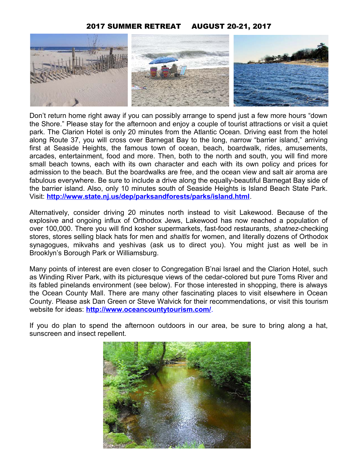## 2017 SUMMER RETREAT AUGUST 20-21, 2017



Don't return home right away if you can possibly arrange to spend just a few more hours "down the Shore." Please stay for the afternoon and enjoy a couple of tourist attractions or visit a quiet park. The Clarion Hotel is only 20 minutes from the Atlantic Ocean. Driving east from the hotel along Route 37, you will cross over Barnegat Bay to the long, narrow "barrier island," arriving first at Seaside Heights, the famous town of ocean, beach, boardwalk, rides, amusements, arcades, entertainment, food and more. Then, both to the north and south, you will find more small beach towns, each with its own character and each with its own policy and prices for admission to the beach. But the boardwalks are free, and the ocean view and salt air aroma are fabulous everywhere. Be sure to include a drive along the equally-beautiful Barnegat Bay side of the barrier island. Also, only 10 minutes south of Seaside Heights is Island Beach State Park. Visit: **http://www.state.nj.us/dep/parksandforests/parks/island.html**.

Alternatively, consider driving 20 minutes north instead to visit Lakewood. Because of the explosive and ongoing influx of Orthodox Jews, Lakewood has now reached a population of over 100,000. There you will find kosher supermarkets, fast-food restaurants, *shatnez*-checking stores, stores selling black hats for men and *shaitls* for women, and literally dozens of Orthodox synagogues, mikvahs and yeshivas (ask us to direct you). You might just as well be in Brooklyn's Borough Park or Williamsburg.

Many points of interest are even closer to Congregation B'nai Israel and the Clarion Hotel, such as Winding River Park, with its picturesque views of the cedar-colored but pure Toms River and its fabled pinelands environment (see below). For those interested in shopping, there is always the Ocean County Mall. There are many other fascinating places to visit elsewhere in Ocean County. Please ask Dan Green or Steve Walvick for their recommendations, or visit this tourism website for ideas: **http://www.oceancountytourism.com/**.

If you do plan to spend the afternoon outdoors in our area, be sure to bring along a hat, sunscreen and insect repellent.

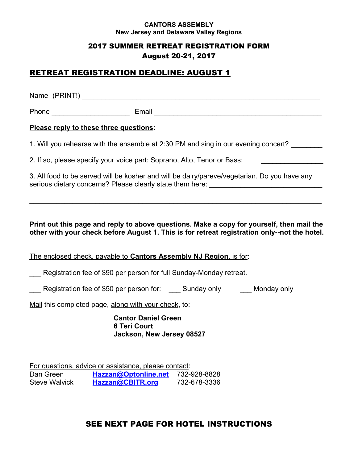#### **CANTORS ASSEMBLY New Jersey and Delaware Valley Regions**

## 2017 SUMMER RETREAT REGISTRATION FORM August 20-21, 2017

# RETREAT REGISTRATION DEADLINE: AUGUST 1

Name (PRINT!)

Phone **Email Email Email Email Email Email**  *Email <b>Email Phone Phone Phone Phone Phone Phone Phone Phone Phone Phone Phone Phone Phone Phone Pho* 

## **Please reply to these three questions**:

1. Will you rehearse with the ensemble at 2:30 PM and sing in our evening concert?

2. If so, please specify your voice part: Soprano, Alto, Tenor or Bass:

3. All food to be served will be kosher and will be dairy/pareve/vegetarian. Do you have any serious dietary concerns? Please clearly state them here:

## **Print out this page and reply to above questions. Make a copy for yourself, then mail the other with your check before August 1. This is for retreat registration only--not the hotel.**

\_\_\_\_\_\_\_\_\_\_\_\_\_\_\_\_\_\_\_\_\_\_\_\_\_\_\_\_\_\_\_\_\_\_\_\_\_\_\_\_\_\_\_\_\_\_\_\_\_\_\_\_\_\_\_\_\_\_\_\_\_\_\_\_\_\_\_\_\_\_\_\_\_\_\_

The enclosed check, payable to **Cantors Assembly NJ Region**, is for:

Registration fee of \$90 per person for full Sunday-Monday retreat.

Registration fee of \$50 per person for: Sunday only Monday only

Mail this completed page, along with your check, to:

**Cantor Daniel Green 6 Teri Court Jackson, New Jersey 08527**

For questions, advice or assistance, please contact: Dan Green **Hazzan@Optonline.net** 732-928-8828 Steve Walvick **Hazzan@CBITR.org** 732-678-3336

# SEE NEXT PAGE FOR HOTEL INSTRUCTIONS